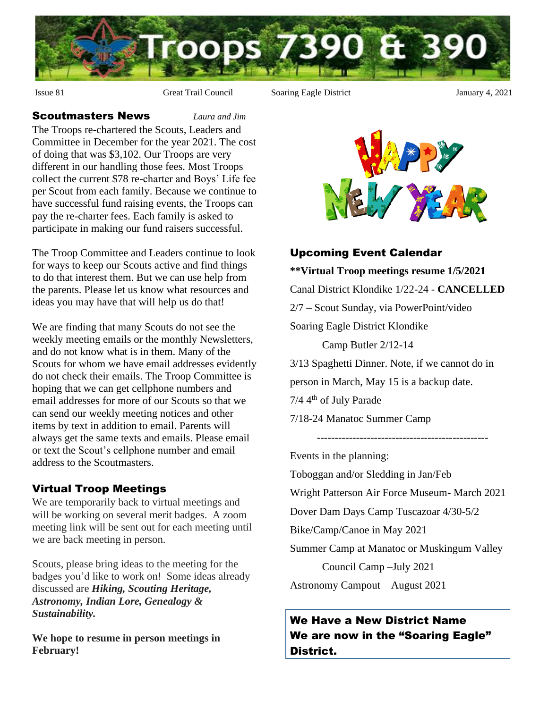

Issue 81 Great Trail Council Soaring Eagle District January 4, 2021

#### Scoutmasters News *Laura and Jim*

The Troops re-chartered the Scouts, Leaders and Committee in December for the year 2021. The cost of doing that was \$3,102. Our Troops are very different in our handling those fees. Most Troops collect the current \$78 re-charter and Boys' Life fee per Scout from each family. Because we continue to have successful fund raising events, the Troops can pay the re-charter fees. Each family is asked to participate in making our fund raisers successful.

The Troop Committee and Leaders continue to look for ways to keep our Scouts active and find things to do that interest them. But we can use help from the parents. Please let us know what resources and ideas you may have that will help us do that!

We are finding that many Scouts do not see the weekly meeting emails or the monthly Newsletters, and do not know what is in them. Many of the Scouts for whom we have email addresses evidently do not check their emails. The Troop Committee is hoping that we can get cellphone numbers and email addresses for more of our Scouts so that we can send our weekly meeting notices and other items by text in addition to email. Parents will always get the same texts and emails. Please email or text the Scout's cellphone number and email address to the Scoutmasters.

### Virtual Troop Meetings

We are temporarily back to virtual meetings and will be working on several merit badges. A zoom meeting link will be sent out for each meeting until we are back meeting in person.

Scouts, please bring ideas to the meeting for the badges you'd like to work on! Some ideas already discussed are *Hiking, Scouting Heritage, Astronomy, Indian Lore, Genealogy & Sustainability.*

**We hope to resume in person meetings in February!**



# Upcoming Event Calendar **\*\*Virtual Troop meetings resume 1/5/2021** Canal District Klondike 1/22-24 - **CANCELLED** 2/7 – Scout Sunday, via PowerPoint/video Soaring Eagle District Klondike Camp Butler 2/12-14 3/13 Spaghetti Dinner. Note, if we cannot do in person in March, May 15 is a backup date. 7/4 4th of July Parade 7/18-24 Manatoc Summer Camp ------------------------------------------------

Events in the planning:

Toboggan and/or Sledding in Jan/Feb

Wright Patterson Air Force Museum- March 2021

Dover Dam Days Camp Tuscazoar 4/30-5/2

Bike/Camp/Canoe in May 2021

Summer Camp at Manatoc or Muskingum Valley

Council Camp –July 2021

Astronomy Campout – August 2021

## We Have a New District Name We are now in the "Soaring Eagle" District.